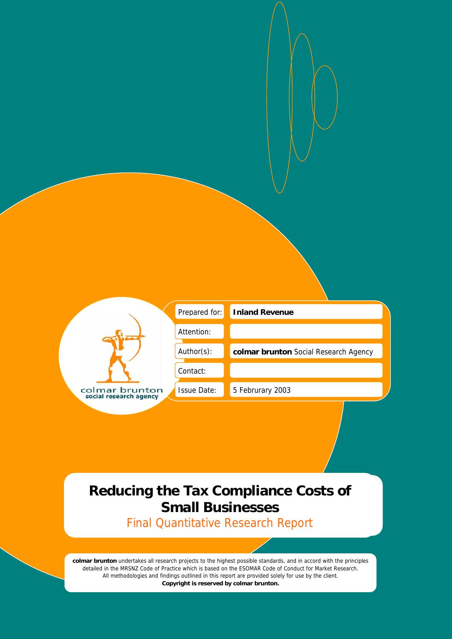|                                          | Prepared for:      | <b>Inland Revenue</b>                 |
|------------------------------------------|--------------------|---------------------------------------|
|                                          | Attention:         |                                       |
|                                          | Author(s):         | colmar brunton Social Research Agency |
|                                          | Contact:           |                                       |
| colmar brunton<br>social research agency | <b>Issue Date:</b> | 5 Februrary 2003                      |

# **Reducing the Tax Compliance Costs of Small Businesses**

Final Quantitative Research Report

**colmar brunton** undertakes all research projects to the highest possible standards, and in accord with the principles detailed in the MRSNZ Code of Practice which is based on the ESOMAR Code of Conduct for Market Research. All methodologies and findings outlined in this report are provided solely for use by the client. **Copyright is reserved by colmar brunton.**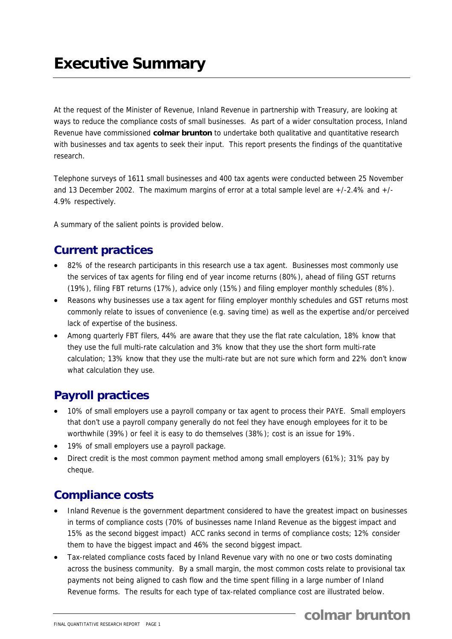At the request of the Minister of Revenue, Inland Revenue in partnership with Treasury, are looking at ways to reduce the compliance costs of small businesses. As part of a wider consultation process, Inland Revenue have commissioned **colmar brunton** to undertake both qualitative and quantitative research with businesses and tax agents to seek their input. This report presents the findings of the quantitative research.

Telephone surveys of 1611 small businesses and 400 tax agents were conducted between 25 November and 13 December 2002. The maximum margins of error at a total sample level are +/-2.4% and +/- 4.9% respectively.

A summary of the salient points is provided below.

# **Current practices**

- 82% of the research participants in this research use a tax agent. Businesses most commonly use the services of tax agents for filing end of year income returns (80%), ahead of filing GST returns (19%), filing FBT returns (17%), advice only (15%) and filing employer monthly schedules (8%).
- Reasons why businesses use a tax agent for filing employer monthly schedules and GST returns most commonly relate to issues of convenience (e.g. saving time) as well as the expertise and/or perceived lack of expertise of the business.
- Among quarterly FBT filers, 44% are aware that they use the flat rate calculation, 18% know that they use the full multi-rate calculation and 3% know that they use the short form multi-rate calculation; 13% know that they use the multi-rate but are not sure which form and 22% don't know what calculation they use.

# **Payroll practices**

- 10% of small employers use a payroll company or tax agent to process their PAYE. Small employers that don't use a payroll company generally do not feel they have enough employees for it to be worthwhile (39%) or feel it is easy to do themselves (38%); cost is an issue for 19%.
- 19% of small employers use a payroll package.
- Direct credit is the most common payment method among small employers (61%); 31% pay by cheque.

# **Compliance costs**

- Inland Revenue is the government department considered to have the greatest impact on businesses in terms of compliance costs (70% of businesses name Inland Revenue as the biggest impact and 15% as the second biggest impact) ACC ranks second in terms of compliance costs; 12% consider them to have the biggest impact and 46% the second biggest impact.
- Tax-related compliance costs faced by Inland Revenue vary with no one or two costs dominating across the business community. By a small margin, the most common costs relate to provisional tax payments not being aligned to cash flow and the time spent filling in a large number of Inland Revenue forms. The results for each type of tax-related compliance cost are illustrated below.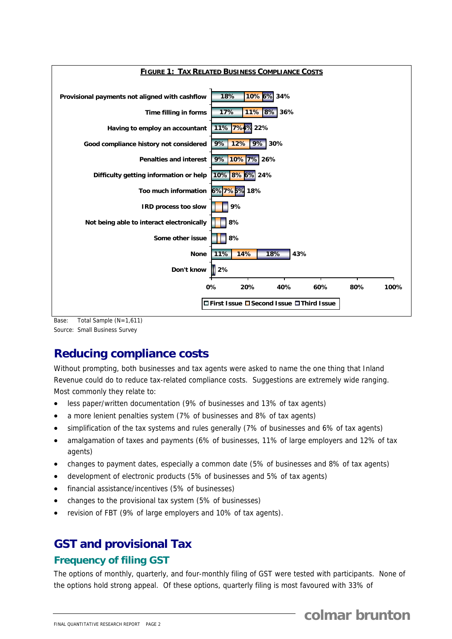

Base: Total Sample (N=1,611) Source: Small Business Survey

# **Reducing compliance costs**

Without prompting, both businesses and tax agents were asked to name the one thing that Inland Revenue could do to reduce tax-related compliance costs. Suggestions are extremely wide ranging. Most commonly they relate to:

- less paper/written documentation (9% of businesses and 13% of tax agents)
- a more lenient penalties system (7% of businesses and 8% of tax agents)
- simplification of the tax systems and rules generally (7% of businesses and 6% of tax agents)
- amalgamation of taxes and payments (6% of businesses, 11% of large employers and 12% of tax agents)
- changes to payment dates, especially a common date (5% of businesses and 8% of tax agents)
- development of electronic products (5% of businesses and 5% of tax agents)
- financial assistance/incentives (5% of businesses)
- changes to the provisional tax system (5% of businesses)
- revision of FBT (9% of large employers and 10% of tax agents).

# **GST and provisional Tax**

## **Frequency of filing GST**

The options of monthly, quarterly, and four-monthly filing of GST were tested with participants. None of the options hold strong appeal. Of these options, quarterly filing is most favoured with 33% of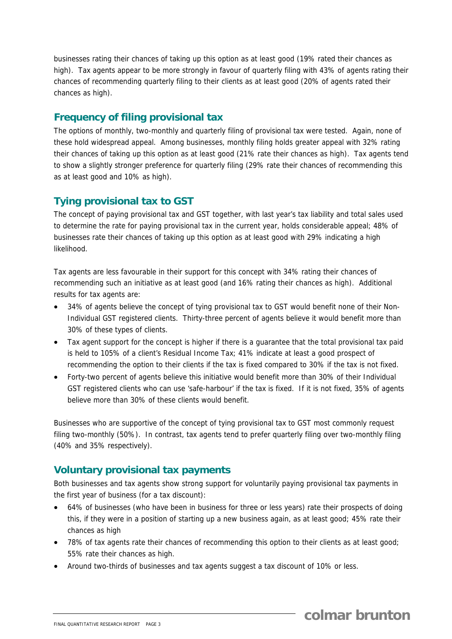businesses rating their chances of taking up this option as at least good (19% rated their chances as high). Tax agents appear to be more strongly in favour of quarterly filing with 43% of agents rating their chances of recommending quarterly filing to their clients as at least good (20% of agents rated their chances as high).

#### **Frequency of filing provisional tax**

The options of monthly, two-monthly and quarterly filing of provisional tax were tested. Again, none of these hold widespread appeal. Among businesses, monthly filing holds greater appeal with 32% rating their chances of taking up this option as at least good (21% rate their chances as high). Tax agents tend to show a slightly stronger preference for quarterly filing (29% rate their chances of recommending this as at least good and 10% as high).

## **Tying provisional tax to GST**

The concept of paying provisional tax and GST together, with last year's tax liability and total sales used to determine the rate for paying provisional tax in the current year, holds considerable appeal; 48% of businesses rate their chances of taking up this option as at least good with 29% indicating a high likelihood.

Tax agents are less favourable in their support for this concept with 34% rating their chances of recommending such an initiative as at least good (and 16% rating their chances as high). Additional results for tax agents are:

- 34% of agents believe the concept of tying provisional tax to GST would benefit none of their Non-Individual GST registered clients. Thirty-three percent of agents believe it would benefit more than 30% of these types of clients.
- Tax agent support for the concept is higher if there is a guarantee that the total provisional tax paid is held to 105% of a client's Residual Income Tax; 41% indicate at least a good prospect of recommending the option to their clients if the tax is fixed compared to 30% if the tax is not fixed.
- Forty-two percent of agents believe this initiative would benefit more than 30% of their Individual GST registered clients who can use 'safe-harbour' if the tax is fixed. If it is not fixed, 35% of agents believe more than 30% of these clients would benefit.

Businesses who are supportive of the concept of tying provisional tax to GST most commonly request filing two-monthly (50%). In contrast, tax agents tend to prefer quarterly filing over two-monthly filing (40% and 35% respectively).

## **Voluntary provisional tax payments**

Both businesses and tax agents show strong support for voluntarily paying provisional tax payments in the first year of business (for a tax discount):

- 64% of businesses (who have been in business for three or less years) rate their prospects of doing this, if they were in a position of starting up a new business again, as at least good; 45% rate their chances as high
- 78% of tax agents rate their chances of recommending this option to their clients as at least good; 55% rate their chances as high.
- Around two-thirds of businesses and tax agents suggest a tax discount of 10% or less.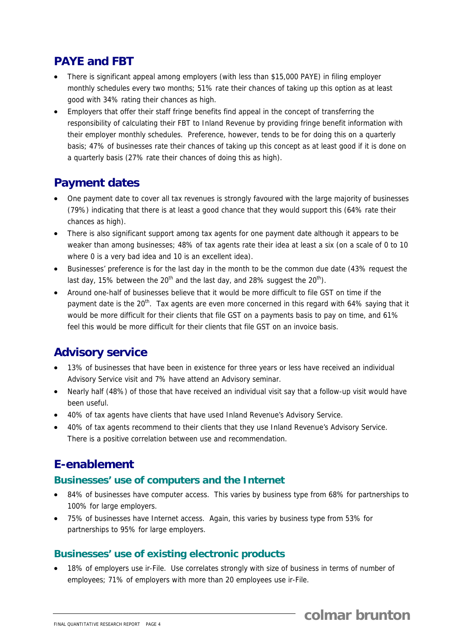## **PAYE and FBT**

- There is significant appeal among employers (with less than \$15,000 PAYE) in filing employer monthly schedules every two months; 51% rate their chances of taking up this option as at least good with 34% rating their chances as high.
- Employers that offer their staff fringe benefits find appeal in the concept of transferring the responsibility of calculating their FBT to Inland Revenue by providing fringe benefit information with their employer monthly schedules. Preference, however, tends to be for doing this on a quarterly basis; 47% of businesses rate their chances of taking up this concept as at least good if it is done on a quarterly basis (27% rate their chances of doing this as high).

# **Payment dates**

- One payment date to cover all tax revenues is strongly favoured with the large majority of businesses (79%) indicating that there is at least a good chance that they would support this (64% rate their chances as high).
- There is also significant support among tax agents for one payment date although it appears to be weaker than among businesses; 48% of tax agents rate their idea at least a six (on a scale of 0 to 10 where 0 is a very bad idea and 10 is an excellent idea).
- Businesses' preference is for the last day in the month to be the common due date (43% request the last day, 15% between the 20<sup>th</sup> and the last day, and 28% suggest the 20<sup>th</sup>).
- Around one-half of businesses believe that it would be more difficult to file GST on time if the payment date is the 20<sup>th</sup>. Tax agents are even more concerned in this regard with 64% saying that it would be more difficult for their clients that file GST on a payments basis to pay on time, and 61% feel this would be more difficult for their clients that file GST on an invoice basis.

# **Advisory service**

- 13% of businesses that have been in existence for three years or less have received an individual Advisory Service visit and 7% have attend an Advisory seminar.
- Nearly half (48%) of those that have received an individual visit say that a follow-up visit would have been useful.
- 40% of tax agents have clients that have used Inland Revenue's Advisory Service.
- 40% of tax agents recommend to their clients that they use Inland Revenue's Advisory Service. There is a positive correlation between use and recommendation.

# **E-enablement**

## **Businesses' use of computers and the Internet**

- 84% of businesses have computer access. This varies by business type from 68% for partnerships to 100% for large employers.
- 75% of businesses have Internet access. Again, this varies by business type from 53% for partnerships to 95% for large employers.

## **Businesses' use of existing electronic products**

18% of employers use ir-File. Use correlates strongly with size of business in terms of number of employees; 71% of employers with more than 20 employees use ir-File.

**colmar brunton**

FINAL QUANTITATIVE RESEARCH REPORT PAGE 4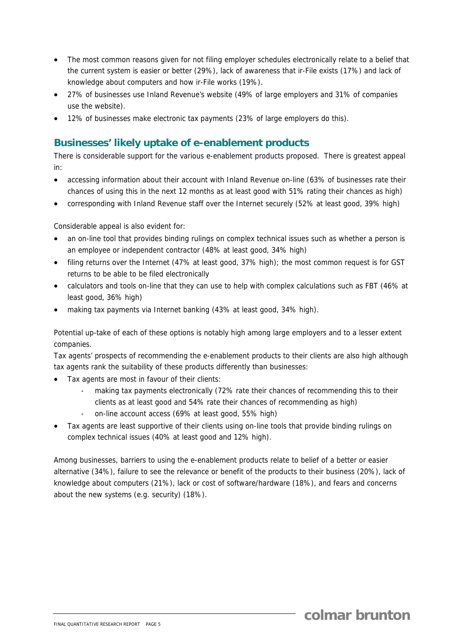- The most common reasons given for not filing employer schedules electronically relate to a belief that the current system is easier or better (29%), lack of awareness that ir-File exists (17%) and lack of knowledge about computers and how ir-File works (19%).
- 27% of businesses use Inland Revenue's website (49% of large employers and 31% of companies use the website).
- 12% of businesses make electronic tax payments (23% of large employers do this).

#### **Businesses' likely uptake of e-enablement products**

There is considerable support for the various e-enablement products proposed. There is greatest appeal in:

- accessing information about their account with Inland Revenue on-line (63% of businesses rate their chances of using this in the next 12 months as at least good with 51% rating their chances as high)
- corresponding with Inland Revenue staff over the Internet securely (52% at least good, 39% high)

Considerable appeal is also evident for:

- an on-line tool that provides binding rulings on complex technical issues such as whether a person is an employee or independent contractor (48% at least good, 34% high)
- filing returns over the Internet (47% at least good, 37% high); the most common request is for GST returns to be able to be filed electronically
- calculators and tools on-line that they can use to help with complex calculations such as FBT (46% at least good, 36% high)
- making tax payments via Internet banking (43% at least good, 34% high).

Potential up-take of each of these options is notably high among large employers and to a lesser extent companies.

Tax agents' prospects of recommending the e-enablement products to their clients are also high although tax agents rank the suitability of these products differently than businesses:

- Tax agents are most in favour of their clients:
	- making tax payments electronically (72% rate their chances of recommending this to their clients as at least good and 54% rate their chances of recommending as high)
	- on-line account access (69% at least good, 55% high)
- Tax agents are least supportive of their clients using on-line tools that provide binding rulings on complex technical issues (40% at least good and 12% high).

Among businesses, barriers to using the e-enablement products relate to belief of a better or easier alternative (34%), failure to see the relevance or benefit of the products to their business (20%), lack of knowledge about computers (21%), lack or cost of software/hardware (18%), and fears and concerns about the new systems (e.g. security) (18%).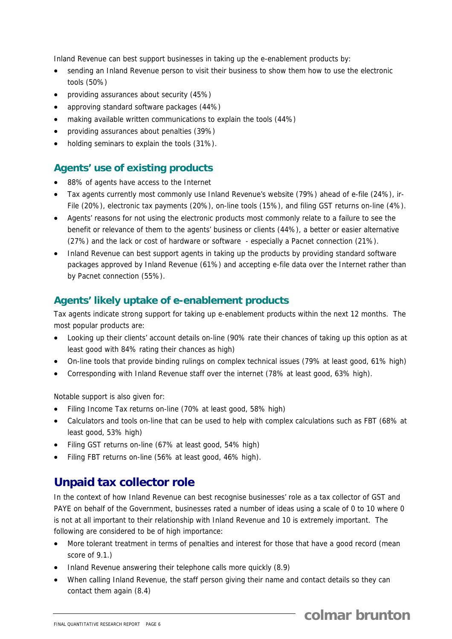Inland Revenue can best support businesses in taking up the e-enablement products by:

- sending an Inland Revenue person to visit their business to show them how to use the electronic tools (50%)
- providing assurances about security (45%)
- approving standard software packages (44%)
- making available written communications to explain the tools (44%)
- providing assurances about penalties (39%)
- holding seminars to explain the tools (31%).

## **Agents' use of existing products**

- 88% of agents have access to the Internet
- Tax agents currently most commonly use Inland Revenue's website (79%) ahead of e-file (24%), ir-File (20%), electronic tax payments (20%), on-line tools (15%), and filing GST returns on-line (4%).
- Agents' reasons for not using the electronic products most commonly relate to a failure to see the benefit or relevance of them to the agents' business or clients (44%), a better or easier alternative (27%) and the lack or cost of hardware or software - especially a Pacnet connection (21%).
- Inland Revenue can best support agents in taking up the products by providing standard software packages approved by Inland Revenue (61%) and accepting e-file data over the Internet rather than by Pacnet connection (55%).

## **Agents' likely uptake of e-enablement products**

Tax agents indicate strong support for taking up e-enablement products within the next 12 months. The most popular products are:

- Looking up their clients' account details on-line (90% rate their chances of taking up this option as at least good with 84% rating their chances as high)
- On-line tools that provide binding rulings on complex technical issues (79% at least good, 61% high)
- Corresponding with Inland Revenue staff over the internet (78% at least good, 63% high).

Notable support is also given for:

- Filing Income Tax returns on-line (70% at least good, 58% high)
- Calculators and tools on-line that can be used to help with complex calculations such as FBT (68% at least good, 53% high)
- Filing GST returns on-line (67% at least good, 54% high)
- Filing FBT returns on-line (56% at least good, 46% high).

## **Unpaid tax collector role**

In the context of how Inland Revenue can best recognise businesses' role as a tax collector of GST and PAYE on behalf of the Government, businesses rated a number of ideas using a scale of 0 to 10 where 0 is not at all important to their relationship with Inland Revenue and 10 is extremely important. The following are considered to be of high importance:

- More tolerant treatment in terms of penalties and interest for those that have a good record (mean score of 9.1.)
- Inland Revenue answering their telephone calls more quickly (8.9)
- When calling Inland Revenue, the staff person giving their name and contact details so they can contact them again (8.4)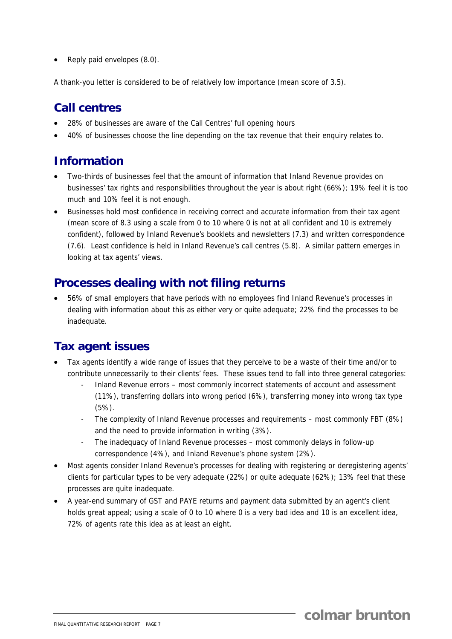• Reply paid envelopes (8.0).

A thank-you letter is considered to be of relatively low importance (mean score of 3.5).

## **Call centres**

- 28% of businesses are aware of the Call Centres' full opening hours
- 40% of businesses choose the line depending on the tax revenue that their enquiry relates to.

## **Information**

- Two-thirds of businesses feel that the amount of information that Inland Revenue provides on businesses' tax rights and responsibilities throughout the year is about right (66%); 19% feel it is too much and 10% feel it is not enough.
- Businesses hold most confidence in receiving correct and accurate information from their tax agent (mean score of 8.3 using a scale from 0 to 10 where 0 is not at all confident and 10 is extremely confident), followed by Inland Revenue's booklets and newsletters (7.3) and written correspondence (7.6). Least confidence is held in Inland Revenue's call centres (5.8). A similar pattern emerges in looking at tax agents' views.

## **Processes dealing with not filing returns**

• 56% of small employers that have periods with no employees find Inland Revenue's processes in dealing with information about this as either very or quite adequate; 22% find the processes to be inadequate.

## **Tax agent issues**

- Tax agents identify a wide range of issues that they perceive to be a waste of their time and/or to contribute unnecessarily to their clients' fees. These issues tend to fall into three general categories:
	- Inland Revenue errors most commonly incorrect statements of account and assessment (11%), transferring dollars into wrong period (6%), transferring money into wrong tax type (5%).
	- The complexity of Inland Revenue processes and requirements most commonly FBT (8%) and the need to provide information in writing (3%).
	- The inadequacy of Inland Revenue processes most commonly delays in follow-up correspondence (4%), and Inland Revenue's phone system (2%).
- Most agents consider Inland Revenue's processes for dealing with registering or deregistering agents' clients for particular types to be very adequate (22%) or quite adequate (62%); 13% feel that these processes are quite inadequate.
- A year-end summary of GST and PAYE returns and payment data submitted by an agent's client holds great appeal; using a scale of 0 to 10 where 0 is a very bad idea and 10 is an excellent idea. 72% of agents rate this idea as at least an eight.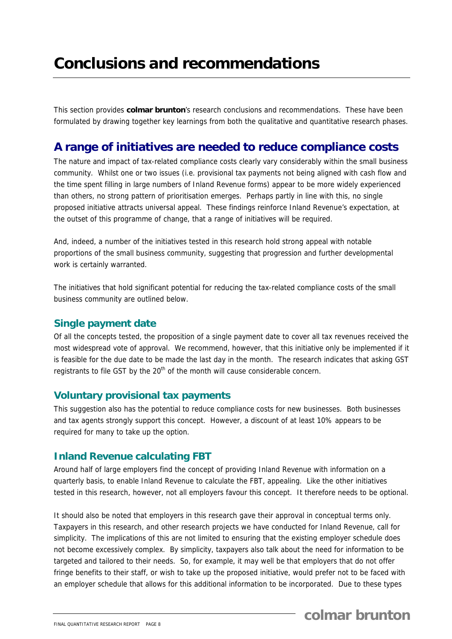This section provides **colmar brunton**'s research conclusions and recommendations. These have been formulated by drawing together key learnings from both the qualitative and quantitative research phases.

## **A range of initiatives are needed to reduce compliance costs**

The nature and impact of tax-related compliance costs clearly vary considerably within the small business community. Whilst one or two issues (i.e. provisional tax payments not being aligned with cash flow and the time spent filling in large numbers of Inland Revenue forms) appear to be more widely experienced than others, no strong pattern of prioritisation emerges. Perhaps partly in line with this, no single proposed initiative attracts universal appeal. These findings reinforce Inland Revenue's expectation, at the outset of this programme of change, that a range of initiatives will be required.

And, indeed, a number of the initiatives tested in this research hold strong appeal with notable proportions of the small business community, suggesting that progression and further developmental work is certainly warranted.

The initiatives that hold significant potential for reducing the tax-related compliance costs of the small business community are outlined below.

## **Single payment date**

Of all the concepts tested, the proposition of a single payment date to cover all tax revenues received the most widespread vote of approval. We recommend, however, that this initiative only be implemented if it is feasible for the due date to be made the last day in the month. The research indicates that asking GST registrants to file GST by the 20<sup>th</sup> of the month will cause considerable concern.

#### **Voluntary provisional tax payments**

This suggestion also has the potential to reduce compliance costs for new businesses. Both businesses and tax agents strongly support this concept. However, a discount of at least 10% appears to be required for many to take up the option.

#### **Inland Revenue calculating FBT**

Around half of large employers find the concept of providing Inland Revenue with information on a quarterly basis, to enable Inland Revenue to calculate the FBT, appealing. Like the other initiatives tested in this research, however, not all employers favour this concept. It therefore needs to be optional.

It should also be noted that employers in this research gave their approval in conceptual terms only. Taxpayers in this research, and other research projects we have conducted for Inland Revenue, call for simplicity. The implications of this are not limited to ensuring that the existing employer schedule does not become excessively complex. By simplicity, taxpayers also talk about the need for information to be targeted and tailored to their needs. So, for example, it may well be that employers that do not offer fringe benefits to their staff, or wish to take up the proposed initiative, would prefer not to be faced with an employer schedule that allows for this additional information to be incorporated. Due to these types

# **colmar brunton**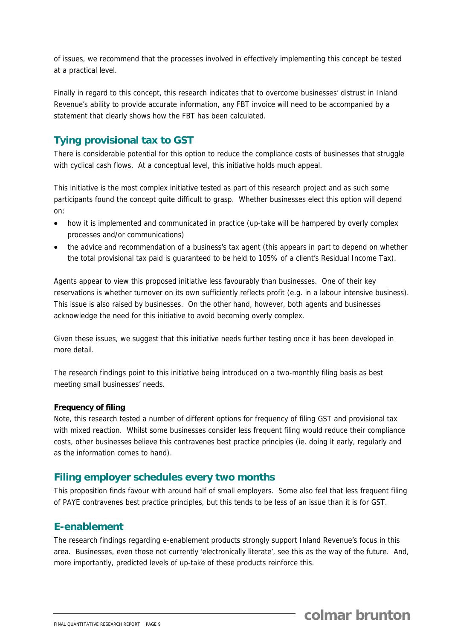of issues, we recommend that the processes involved in effectively implementing this concept be tested at a practical level.

Finally in regard to this concept, this research indicates that to overcome businesses' distrust in Inland Revenue's ability to provide accurate information, any FBT invoice will need to be accompanied by a statement that clearly shows how the FBT has been calculated.

## **Tying provisional tax to GST**

There is considerable potential for this option to reduce the compliance costs of businesses that struggle with cyclical cash flows. At a conceptual level, this initiative holds much appeal.

This initiative is the most complex initiative tested as part of this research project and as such some participants found the concept quite difficult to grasp. Whether businesses elect this option will depend on:

- how it is implemented and communicated in practice (up-take will be hampered by overly complex processes and/or communications)
- the advice and recommendation of a business's tax agent (this appears in part to depend on whether the total provisional tax paid is guaranteed to be held to 105% of a client's Residual Income Tax).

Agents appear to view this proposed initiative less favourably than businesses. One of their key reservations is whether turnover on its own sufficiently reflects profit (e.g. in a labour intensive business). This issue is also raised by businesses. On the other hand, however, both agents and businesses acknowledge the need for this initiative to avoid becoming overly complex.

Given these issues, we suggest that this initiative needs further testing once it has been developed in more detail.

The research findings point to this initiative being introduced on a two-monthly filing basis as best meeting small businesses' needs.

#### **Frequency of filing**

Note, this research tested a number of different options for frequency of filing GST and provisional tax with mixed reaction. Whilst some businesses consider less frequent filing would reduce their compliance costs, other businesses believe this contravenes best practice principles (ie. doing it early, regularly and as the information comes to hand).

#### **Filing employer schedules every two months**

This proposition finds favour with around half of small employers. Some also feel that less frequent filing of PAYE contravenes best practice principles, but this tends to be less of an issue than it is for GST.

#### **E-enablement**

The research findings regarding e-enablement products strongly support Inland Revenue's focus in this area. Businesses, even those not currently 'electronically literate', see this as the way of the future. And, more importantly, predicted levels of up-take of these products reinforce this.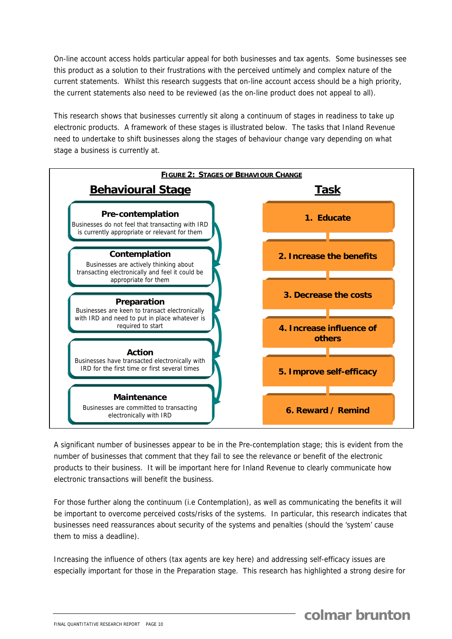On-line account access holds particular appeal for both businesses and tax agents. Some businesses see this product as a solution to their frustrations with the perceived untimely and complex nature of the current statements. Whilst this research suggests that on-line account access should be a high priority, the current statements also need to be reviewed (as the on-line product does not appeal to all).

This research shows that businesses currently sit along a continuum of stages in readiness to take up electronic products. A framework of these stages is illustrated below. The tasks that Inland Revenue need to undertake to shift businesses along the stages of behaviour change vary depending on what stage a business is currently at.



A significant number of businesses appear to be in the Pre-contemplation stage; this is evident from the number of businesses that comment that they fail to see the relevance or benefit of the electronic products to their business. It will be important here for Inland Revenue to clearly communicate how electronic transactions will benefit the business.

For those further along the continuum (i.e Contemplation), as well as communicating the benefits it will be important to overcome perceived costs/risks of the systems. In particular, this research indicates that businesses need reassurances about security of the systems and penalties (should the 'system' cause them to miss a deadline).

Increasing the influence of others (tax agents are key here) and addressing self-efficacy issues are especially important for those in the Preparation stage. This research has highlighted a strong desire for

**colmar brunton**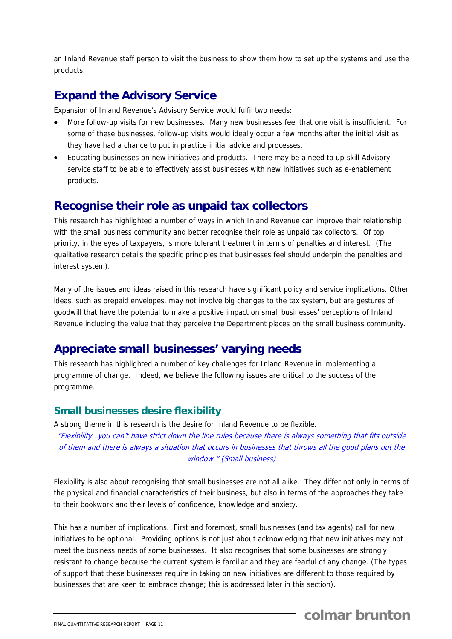an Inland Revenue staff person to visit the business to show them how to set up the systems and use the products.

## **Expand the Advisory Service**

Expansion of Inland Revenue's Advisory Service would fulfil two needs:

- More follow-up visits for new businesses. Many new businesses feel that one visit is insufficient. For some of these businesses, follow-up visits would ideally occur a few months after the initial visit as they have had a chance to put in practice initial advice and processes.
- Educating businesses on new initiatives and products. There may be a need to up-skill Advisory service staff to be able to effectively assist businesses with new initiatives such as e-enablement products.

## **Recognise their role as unpaid tax collectors**

This research has highlighted a number of ways in which Inland Revenue can improve their relationship with the small business community and better recognise their role as unpaid tax collectors. Of top priority, in the eyes of taxpayers, is more tolerant treatment in terms of penalties and interest. (The qualitative research details the specific principles that businesses feel should underpin the penalties and interest system).

Many of the issues and ideas raised in this research have significant policy and service implications. Other ideas, such as prepaid envelopes, may not involve big changes to the tax system, but are gestures of goodwill that have the potential to make a positive impact on small businesses' perceptions of Inland Revenue including the value that they perceive the Department places on the small business community.

## **Appreciate small businesses' varying needs**

This research has highlighted a number of key challenges for Inland Revenue in implementing a programme of change. Indeed, we believe the following issues are critical to the success of the programme.

#### **Small businesses desire flexibility**

A strong theme in this research is the desire for Inland Revenue to be flexible. "Flexibility…you can't have strict down the line rules because there is always something that fits outside of them and there is always a situation that occurs in businesses that throws all the good plans out the window." (Small business)

Flexibility is also about recognising that small businesses are not all alike. They differ not only in terms of the physical and financial characteristics of their business, but also in terms of the approaches they take to their bookwork and their levels of confidence, knowledge and anxiety.

This has a number of implications. First and foremost, small businesses (and tax agents) call for new initiatives to be optional. Providing options is not just about acknowledging that new initiatives may not meet the business needs of some businesses. It also recognises that some businesses are strongly resistant to change because the current system is familiar and they are fearful of any change. (The types of support that these businesses require in taking on new initiatives are different to those required by businesses that are keen to embrace change; this is addressed later in this section).

**colmar brunton**

FINAL QUANTITATIVE RESEARCH REPORT PAGE 11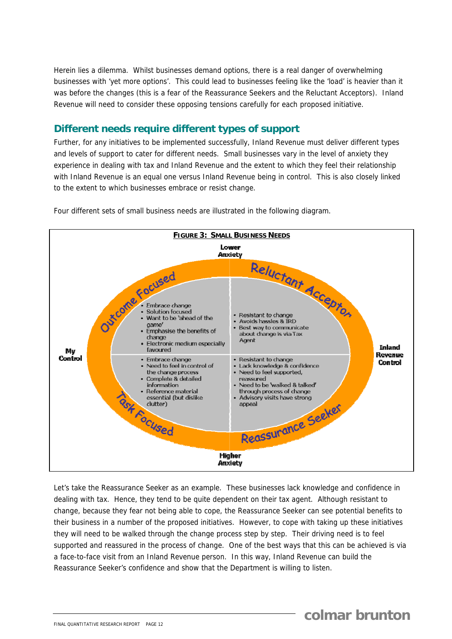Herein lies a dilemma. Whilst businesses demand options, there is a real danger of overwhelming businesses with 'yet more options'. This could lead to businesses feeling like the 'load' is heavier than it was before the changes (this is a fear of the Reassurance Seekers and the Reluctant Acceptors). Inland Revenue will need to consider these opposing tensions carefully for each proposed initiative.

#### **Different needs require different types of support**

Further, for any initiatives to be implemented successfully, Inland Revenue must deliver different types and levels of support to cater for different needs. Small businesses vary in the level of anxiety they experience in dealing with tax and Inland Revenue and the extent to which they feel their relationship with Inland Revenue is an equal one versus Inland Revenue being in control. This is also closely linked to the extent to which businesses embrace or resist change.



Four different sets of small business needs are illustrated in the following diagram.

Let's take the Reassurance Seeker as an example. These businesses lack knowledge and confidence in dealing with tax. Hence, they tend to be quite dependent on their tax agent. Although resistant to change, because they fear not being able to cope, the Reassurance Seeker can see potential benefits to their business in a number of the proposed initiatives. However, to cope with taking up these initiatives they will need to be walked through the change process step by step. Their driving need is to feel supported and reassured in the process of change. One of the best ways that this can be achieved is via a face-to-face visit from an Inland Revenue person. In this way, Inland Revenue can build the Reassurance Seeker's confidence and show that the Department is willing to listen.

# **colmar brunton**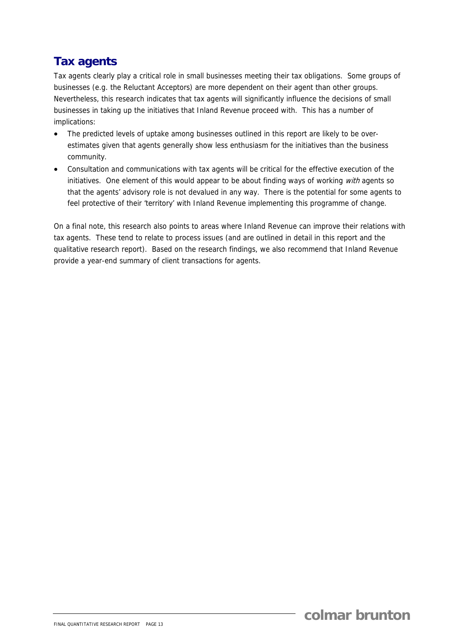# **Tax agents**

Tax agents clearly play a critical role in small businesses meeting their tax obligations. Some groups of businesses (e.g. the Reluctant Acceptors) are more dependent on their agent than other groups. Nevertheless, this research indicates that tax agents will significantly influence the decisions of small businesses in taking up the initiatives that Inland Revenue proceed with. This has a number of implications:

- The predicted levels of uptake among businesses outlined in this report are likely to be overestimates given that agents generally show less enthusiasm for the initiatives than the business community.
- Consultation and communications with tax agents will be critical for the effective execution of the initiatives. One element of this would appear to be about finding ways of working with agents so that the agents' advisory role is not devalued in any way. There is the potential for some agents to feel protective of their 'territory' with Inland Revenue implementing this programme of change.

On a final note, this research also points to areas where Inland Revenue can improve their relations with tax agents. These tend to relate to process issues (and are outlined in detail in this report and the qualitative research report). Based on the research findings, we also recommend that Inland Revenue provide a year-end summary of client transactions for agents.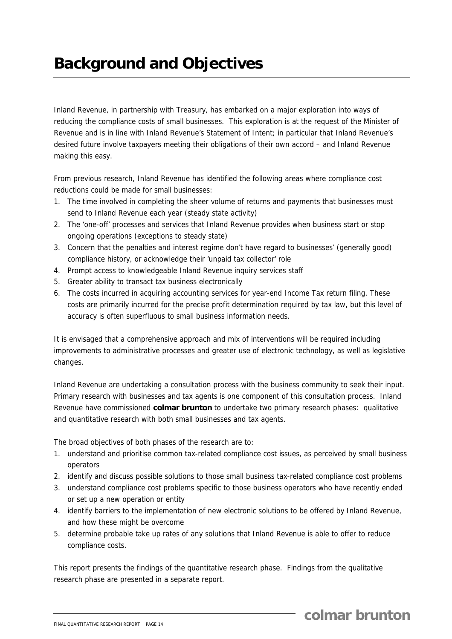# **Background and Objectives**

Inland Revenue, in partnership with Treasury, has embarked on a major exploration into ways of reducing the compliance costs of small businesses. This exploration is at the request of the Minister of Revenue and is in line with Inland Revenue's Statement of Intent; in particular that Inland Revenue's desired future involve taxpayers meeting their obligations of their own accord – and Inland Revenue making this easy.

From previous research, Inland Revenue has identified the following areas where compliance cost reductions could be made for small businesses:

- 1. The time involved in completing the sheer volume of returns and payments that businesses must send to Inland Revenue each year (steady state activity)
- 2. The 'one-off' processes and services that Inland Revenue provides when business start or stop ongoing operations (exceptions to steady state)
- 3. Concern that the penalties and interest regime don't have regard to businesses' (generally good) compliance history, or acknowledge their 'unpaid tax collector' role
- 4. Prompt access to knowledgeable Inland Revenue inquiry services staff
- 5. Greater ability to transact tax business electronically
- 6. The costs incurred in acquiring accounting services for year-end Income Tax return filing. These costs are primarily incurred for the precise profit determination required by tax law, but this level of accuracy is often superfluous to small business information needs.

It is envisaged that a comprehensive approach and mix of interventions will be required including improvements to administrative processes and greater use of electronic technology, as well as legislative changes.

Inland Revenue are undertaking a consultation process with the business community to seek their input. Primary research with businesses and tax agents is one component of this consultation process. Inland Revenue have commissioned **colmar brunton** to undertake two primary research phases: qualitative and quantitative research with both small businesses and tax agents.

The broad objectives of both phases of the research are to:

- 1. understand and prioritise common tax-related compliance cost issues, as perceived by small business operators
- 2. identify and discuss possible solutions to those small business tax-related compliance cost problems
- 3. understand compliance cost problems specific to those business operators who have recently ended or set up a new operation or entity
- 4. identify barriers to the implementation of new electronic solutions to be offered by Inland Revenue, and how these might be overcome
- 5. determine probable take up rates of any solutions that Inland Revenue is able to offer to reduce compliance costs.

This report presents the findings of the quantitative research phase. Findings from the qualitative research phase are presented in a separate report.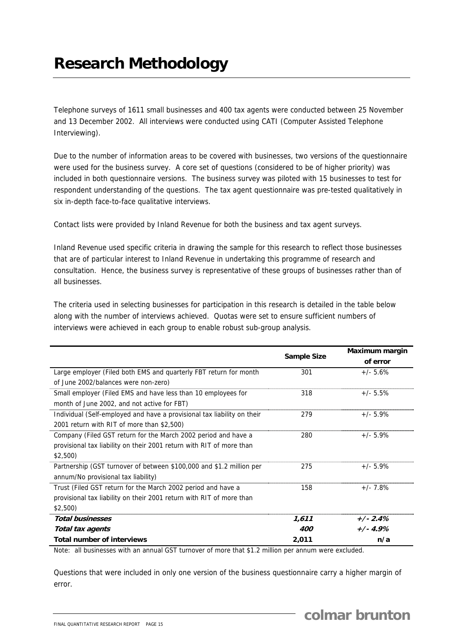Telephone surveys of 1611 small businesses and 400 tax agents were conducted between 25 November and 13 December 2002. All interviews were conducted using CATI (Computer Assisted Telephone Interviewing).

Due to the number of information areas to be covered with businesses, two versions of the questionnaire were used for the business survey. A core set of questions (considered to be of higher priority) was included in both questionnaire versions. The business survey was piloted with 15 businesses to test for respondent understanding of the questions. The tax agent questionnaire was pre-tested qualitatively in six in-depth face-to-face qualitative interviews.

Contact lists were provided by Inland Revenue for both the business and tax agent surveys.

Inland Revenue used specific criteria in drawing the sample for this research to reflect those businesses that are of particular interest to Inland Revenue in undertaking this programme of research and consultation. Hence, the business survey is representative of these groups of businesses rather than of all businesses.

The criteria used in selecting businesses for participation in this research is detailed in the table below along with the number of interviews achieved. Quotas were set to ensure sufficient numbers of interviews were achieved in each group to enable robust sub-group analysis.

|                                                                         |                    | Maximum margin |
|-------------------------------------------------------------------------|--------------------|----------------|
|                                                                         | <b>Sample Size</b> | of error       |
| Large employer (Filed both EMS and quarterly FBT return for month       | 301                | $+/- 5.6%$     |
| of June 2002/balances were non-zero)                                    |                    |                |
| Small employer (Filed EMS and have less than 10 employees for           | 318                | $+/- 5.5\%$    |
| month of June 2002, and not active for FBT)                             |                    |                |
| Individual (Self-employed and have a provisional tax liability on their | 279                | $+/- 5.9%$     |
| 2001 return with RIT of more than \$2,500)                              |                    |                |
| Company (Filed GST return for the March 2002 period and have a          | 280                | $+/- 5.9%$     |
| provisional tax liability on their 2001 return with RIT of more than    |                    |                |
| \$2,500                                                                 |                    |                |
| Partnership (GST turnover of between \$100,000 and \$1.2 million per    | 275                | $+/- 5.9%$     |
| annum/No provisional tax liability)                                     |                    |                |
| Trust (Filed GST return for the March 2002 period and have a            | 158                | $+/-7.8%$      |
| provisional tax liability on their 2001 return with RIT of more than    |                    |                |
| \$2,500                                                                 |                    |                |
| <b>Total businesses</b>                                                 | 1,611              | $+/-2.4%$      |
| Total tax agents                                                        | 400                | $+/- 4.9%$     |
| <b>Total number of interviews</b>                                       | 2,011              | n/a            |

Note: all businesses with an annual GST turnover of more that \$1.2 million per annum were excluded.

Questions that were included in only one version of the business questionnaire carry a higher margin of error.